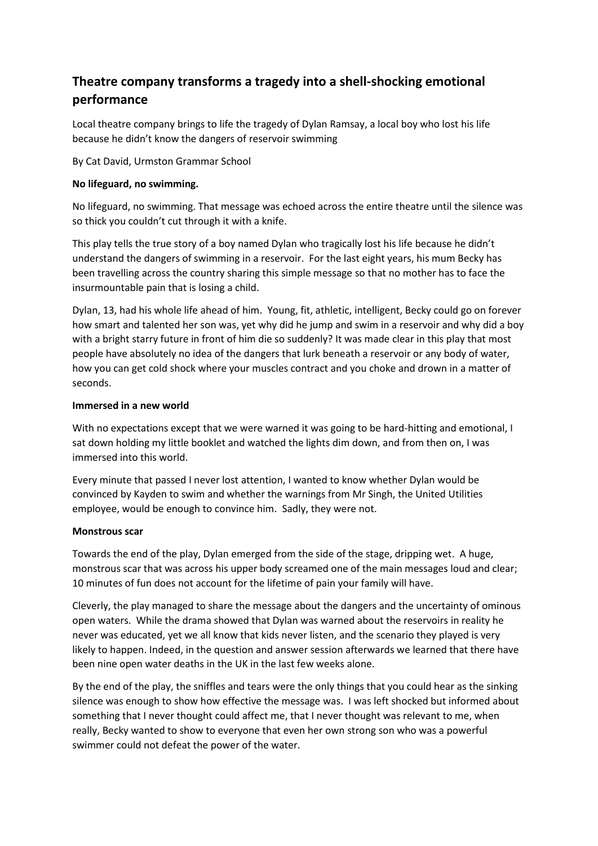# **Theatre company transforms a tragedy into a shell-shocking emotional performance**

Local theatre company brings to life the tragedy of Dylan Ramsay, a local boy who lost his life because he didn't know the dangers of reservoir swimming

By Cat David, Urmston Grammar School

# **No lifeguard, no swimming.**

No lifeguard, no swimming. That message was echoed across the entire theatre until the silence was so thick you couldn't cut through it with a knife.

This play tells the true story of a boy named Dylan who tragically lost his life because he didn't understand the dangers of swimming in a reservoir. For the last eight years, his mum Becky has been travelling across the country sharing this simple message so that no mother has to face the insurmountable pain that is losing a child.

Dylan, 13, had his whole life ahead of him. Young, fit, athletic, intelligent, Becky could go on forever how smart and talented her son was, yet why did he jump and swim in a reservoir and why did a boy with a bright starry future in front of him die so suddenly? It was made clear in this play that most people have absolutely no idea of the dangers that lurk beneath a reservoir or any body of water, how you can get cold shock where your muscles contract and you choke and drown in a matter of seconds.

### **Immersed in a new world**

With no expectations except that we were warned it was going to be hard-hitting and emotional, I sat down holding my little booklet and watched the lights dim down, and from then on, I was immersed into this world.

Every minute that passed I never lost attention, I wanted to know whether Dylan would be convinced by Kayden to swim and whether the warnings from Mr Singh, the United Utilities employee, would be enough to convince him. Sadly, they were not.

### **Monstrous scar**

Towards the end of the play, Dylan emerged from the side of the stage, dripping wet. A huge, monstrous scar that was across his upper body screamed one of the main messages loud and clear; 10 minutes of fun does not account for the lifetime of pain your family will have.

Cleverly, the play managed to share the message about the dangers and the uncertainty of ominous open waters. While the drama showed that Dylan was warned about the reservoirs in reality he never was educated, yet we all know that kids never listen, and the scenario they played is very likely to happen. Indeed, in the question and answer session afterwards we learned that there have been nine open water deaths in the UK in the last few weeks alone.

By the end of the play, the sniffles and tears were the only things that you could hear as the sinking silence was enough to show how effective the message was. I was left shocked but informed about something that I never thought could affect me, that I never thought was relevant to me, when really, Becky wanted to show to everyone that even her own strong son who was a powerful swimmer could not defeat the power of the water.